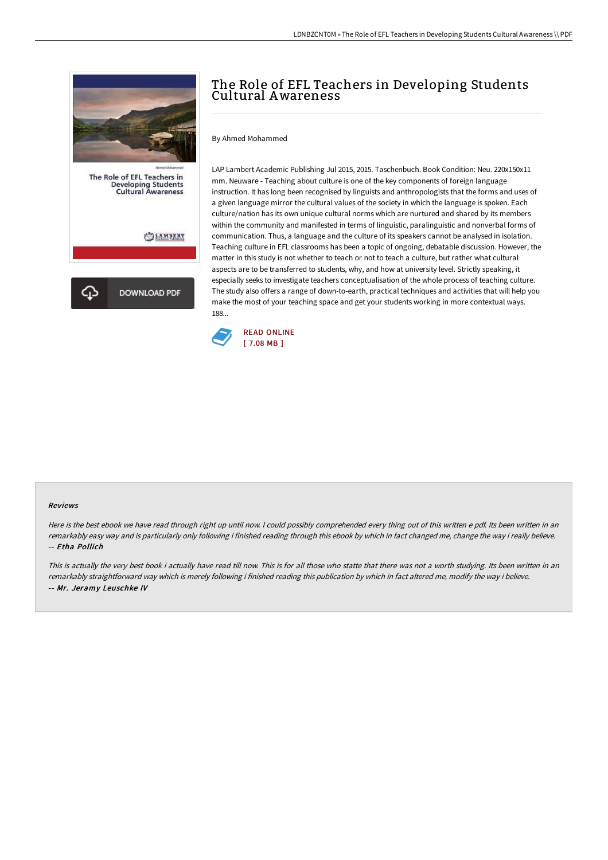

The Role of EFL Teachers in **Developing Students<br>Cultural Awareness** 

LAMBERT

**DOWNLOAD PDF** 

# The Role of EFL Teachers in Developing Students Cultural Awareness

By Ahmed Mohammed

LAP Lambert Academic Publishing Jul 2015, 2015. Taschenbuch. Book Condition: Neu. 220x150x11 mm. Neuware - Teaching about culture is one of the key components of foreign language instruction. It has long been recognised by linguists and anthropologists that the forms and uses of a given language mirror the cultural values of the society in which the language is spoken. Each culture/nation has its own unique cultural norms which are nurtured and shared by its members within the community and manifested in terms of linguistic, paralinguistic and nonverbal forms of communication. Thus, a language and the culture of its speakers cannot be analysed in isolation. Teaching culture in EFL classrooms has been a topic of ongoing, debatable discussion. However, the matter in this study is not whether to teach or not to teach a culture, but rather what cultural aspects are to be transferred to students, why, and how at university level. Strictly speaking, it especially seeks to investigate teachers conceptualisation of the whole process of teaching culture. The study also offers a range of down-to-earth, practical techniques and activities that will help you make the most of your teaching space and get your students working in more contextual ways. 188...



#### Reviews

Here is the best ebook we have read through right up until now. I could possibly comprehended every thing out of this written e pdf. Its been written in an remarkably easy way and is particularly only following i finished reading through this ebook by which in fact changed me, change the way i really believe. -- Etha Pollich

This is actually the very best book i actually have read till now. This is for all those who statte that there was not <sup>a</sup> worth studying. Its been written in an remarkably straightforward way which is merely following i finished reading this publication by which in fact altered me, modify the way i believe. -- Mr. Jeramy Leuschke IV